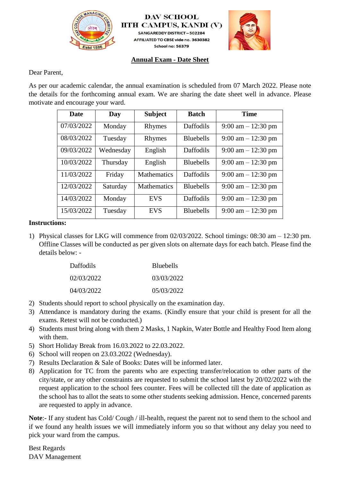

**DAV SCHOOL IITH CAMPUS, KANDI (V)** SANGAREDDY DISTRICT-502284

AFFILIATED TO CBSE vide no. 3630382 School no: 56379



### **Annual Exam - Date Sheet**

Dear Parent,

As per our academic calendar, the annual examination is scheduled from 07 March 2022. Please note the details for the forthcoming annual exam. We are sharing the date sheet well in advance. Please motivate and encourage your ward.

| <b>Date</b> | Day       | <b>Subject</b>     | <b>Batch</b>     | <b>Time</b>                          |
|-------------|-----------|--------------------|------------------|--------------------------------------|
| 07/03/2022  | Monday    | Rhymes             | Daffodils        | 9:00 am $- 12:30$ pm                 |
| 08/03/2022  | Tuesday   | Rhymes             | <b>Bluebells</b> | 9:00 am $- 12:30$ pm                 |
| 09/03/2022  | Wednesday | English            | Daffodils        | $9:00 \text{ am} - 12:30 \text{ pm}$ |
| 10/03/2022  | Thursday  | English            | <b>Bluebells</b> | 9:00 am $- 12:30$ pm                 |
| 11/03/2022  | Friday    | <b>Mathematics</b> | Daffodils        | 9:00 am $- 12:30$ pm                 |
| 12/03/2022  | Saturday  | <b>Mathematics</b> | <b>Bluebells</b> | 9:00 am $- 12:30$ pm                 |
| 14/03/2022  | Monday    | <b>EVS</b>         | Daffodils        | 9:00 am $- 12:30$ pm                 |
| 15/03/2022  | Tuesday   | <b>EVS</b>         | <b>Bluebells</b> | 9:00 am $- 12:30$ pm                 |

# **Instructions:**

1) Physical classes for LKG will commence from 02/03/2022. School timings: 08:30 am – 12:30 pm. Offline Classes will be conducted as per given slots on alternate days for each batch. Please find the details below: -

| <b>Daffodils</b> | <b>B</b> luebells |
|------------------|-------------------|
| 02/03/2022       | 03/03/2022        |
| 04/03/2022       | 05/03/2022        |

- 2) Students should report to school physically on the examination day.
- 3) Attendance is mandatory during the exams. (Kindly ensure that your child is present for all the exams. Retest will not be conducted.)
- 4) Students must bring along with them 2 Masks, 1 Napkin, Water Bottle and Healthy Food Item along with them.
- 5) Short Holiday Break from 16.03.2022 to 22.03.2022.
- 6) School will reopen on 23.03.2022 (Wednesday).
- 7) Results Declaration & Sale of Books: Dates will be informed later.
- 8) Application for TC from the parents who are expecting transfer/relocation to other parts of the city/state, or any other constraints are requested to submit the school latest by 20/02/2022 with the request application to the school fees counter. Fees will be collected till the date of application as the school has to allot the seats to some other students seeking admission. Hence, concerned parents are requested to apply in advance.

**Note**:- If any student has Cold/ Cough / ill-health, request the parent not to send them to the school and if we found any health issues we will immediately inform you so that without any delay you need to pick your ward from the campus.

Best Regards DAV Management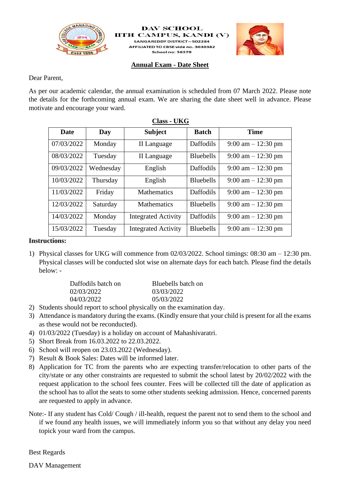

#### **DAV SCHOOL IITH CAMPUS, KANDI (V** SANGAREDDY DISTRICT-502284 AFFILIATED TO CBSE vide no. 3630382 School no: 56379

# **Annual Exam - Date Sheet**



As per our academic calendar, the annual examination is scheduled from 07 March 2022. Please note the details for the forthcoming annual exam. We are sharing the date sheet well in advance. Please motivate and encourage your ward.

| Date       | Day       | <b>Subject</b>             | <b>Batch</b>     | <b>Time</b>                          |
|------------|-----------|----------------------------|------------------|--------------------------------------|
| 07/03/2022 | Monday    | II Language                | Daffodils        | $9:00 \text{ am} - 12:30 \text{ pm}$ |
| 08/03/2022 | Tuesday   | II Language                | <b>Bluebells</b> | $9:00 \text{ am} - 12:30 \text{ pm}$ |
| 09/03/2022 | Wednesday | English                    | Daffodils        | $9:00 \text{ am} - 12:30 \text{ pm}$ |
| 10/03/2022 | Thursday  | English                    | <b>Bluebells</b> | $9:00 \text{ am} - 12:30 \text{ pm}$ |
| 11/03/2022 | Friday    | <b>Mathematics</b>         | Daffodils        | $9:00 \text{ am} - 12:30 \text{ pm}$ |
| 12/03/2022 | Saturday  | <b>Mathematics</b>         | <b>Bluebells</b> | $9:00 \text{ am} - 12:30 \text{ pm}$ |
| 14/03/2022 | Monday    | <b>Integrated Activity</b> | Daffodils        | $9:00$ am $-12:30$ pm                |
| 15/03/2022 | Tuesday   | <b>Integrated Activity</b> | <b>Bluebells</b> | $9:00 \text{ am} - 12:30 \text{ pm}$ |

| U.<br>ı<br>12 S S | K<br>U<br>$\tilde{\phantom{a}}$<br>١T |
|-------------------|---------------------------------------|
|                   |                                       |

# **Instructions:**

1) Physical classes for UKG will commence from 02/03/2022. School timings: 08:30 am – 12:30 pm. Physical classes will be conducted slot wise on alternate days for each batch. Please find the details below: -

| Daffodils batch on | Bluebells batch on |
|--------------------|--------------------|
| 02/03/2022         | 03/03/2022         |
| 04/03/2022         | 05/03/2022         |
|                    |                    |

- 2) Students should report to school physically on the examination day.
- 3) Attendance is mandatory during the exams. (Kindly ensure that your child is present for all the exams as these would not be reconducted).
- 4) 01/03/2022 (Tuesday) is a holiday on account of Mahashivaratri.
- 5) Short Break from 16.03.2022 to 22.03.2022.
- 6) School will reopen on 23.03.2022 (Wednesday).
- 7) Result & Book Sales: Dates will be informed later.
- 8) Application for TC from the parents who are expecting transfer/relocation to other parts of the city/state or any other constraints are requested to submit the school latest by 20/02/2022 with the request application to the school fees counter. Fees will be collected till the date of application as the school has to allot the seats to some other students seeking admission. Hence, concerned parents are requested to apply in advance.
- Note:- If any student has Cold/ Cough / ill-health, request the parent not to send them to the school and if we found any health issues, we will immediately inform you so that without any delay you need topick your ward from the campus.

Best Regards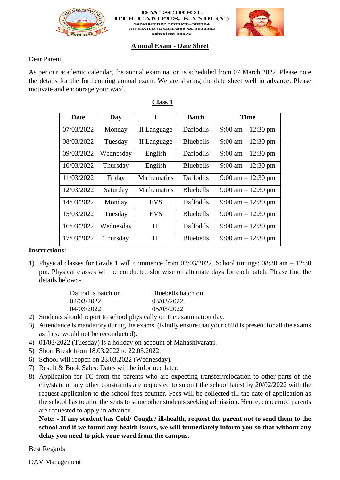

**DAV SCHOOL IITH CAMPUS, KANDI (** SANGAREDDY DISTRICT-502284 AFFILIATED TO CBSE vide no. 3630382 School no: 56379



#### **Annual Exam - Date Sheet**

Dear Parent,

As per our academic calendar, the annual examination is scheduled from 07 March 2022. Please note the details for the forthcoming annual exam. We are sharing the date sheet well in advance. Please motivate and encourage your ward.

| Date       | Day       | I                  | <b>Batch</b>      | <b>Time</b>                          |
|------------|-----------|--------------------|-------------------|--------------------------------------|
| 07/03/2022 | Monday    | II Language        | Daffodils         | $9:00 \text{ am} - 12:30 \text{ pm}$ |
| 08/03/2022 | Tuesday   | II Language        | <b>Bluebells</b>  | $9:00 \text{ am} - 12:30 \text{ pm}$ |
| 09/03/2022 | Wednesday | English            | Daffodils         | $9:00 \text{ am} - 12:30 \text{ pm}$ |
| 10/03/2022 | Thursday  | English            | <b>Bluebells</b>  | $9:00 \text{ am} - 12:30 \text{ pm}$ |
| 11/03/2022 | Friday    | <b>Mathematics</b> | Daffodils         | $9:00 \text{ am} - 12:30 \text{ pm}$ |
| 12/03/2022 | Saturday  | <b>Mathematics</b> | <b>Bluebells</b>  | $9:00 \text{ am} - 12:30 \text{ pm}$ |
| 14/03/2022 | Monday    | <b>EVS</b>         | Daffodils         | $9:00 \text{ am} - 12:30 \text{ pm}$ |
| 15/03/2022 | Tuesday   | <b>EVS</b>         | <b>Bluebells</b>  | $9:00 \text{ am} - 12:30 \text{ pm}$ |
| 16/03/2022 | Wednesday | <b>IT</b>          | Daffodils         | $9:00 \text{ am} - 12:30 \text{ pm}$ |
| 17/03/2022 | Thursday  | <b>IT</b>          | <b>B</b> luebells | $9:00 \text{ am} - 12:30 \text{ pm}$ |

## **Class 1**

#### **Instructions:**

1) Physical classes for Grade 1 will commence from 02/03/2022. School timings: 08:30 am – 12:30 pm. Physical classes will be conducted slot wise on alternate days for each batch. Please find the details below: -

| Daffodils batch on | Bluebells batch on |
|--------------------|--------------------|
| 02/03/2022         | 03/03/2022         |
| 04/03/2022         | 05/03/2022         |

- 2) Students should report to school physically on the examination day.
- 3) Attendance is mandatory during the exams. (Kindly ensure that your child is present for all the exams as these would not be reconducted).
- 4) 01/03/2022 (Tuesday) is a holiday on account of Mahashivaratri.
- 5) Short Break from 18.03.2022 to 22.03.2022.
- 6) School will reopen on 23.03.2022 (Wednesday).
- 7) Result & Book Sales: Dates will be informed later.
- 8) Application for TC from the parents who are expecting transfer/relocation to other parts of the city/state or any other constraints are requested to submit the school latest by 20/02/2022 with the request application to the school fees counter. Fees will be collected till the date of application as the school has to allot the seats to some other students seeking admission. Hence, concerned parents are requested to apply in advance.

**Note: - If any student has Cold/ Cough / ill-health, request the parent not to send them to the school and if we found any health issues, we will immediately inform you so that without any delay you need to pick your ward from the campus**.

Best Regards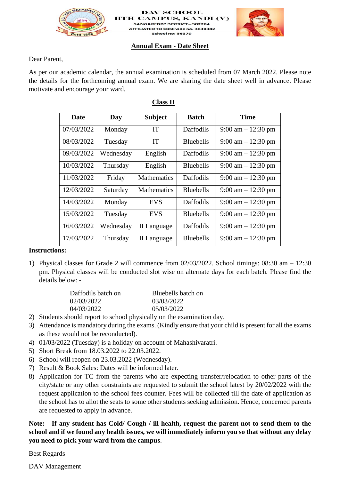

**DAV SCHOOL IITH CAMPUS, KANDI (** SANGAREDDY DISTRICT-502284 AFFILIATED TO CBSE vide no. 3630382 School no: 56379



#### **Annual Exam - Date Sheet**

Dear Parent,

As per our academic calendar, the annual examination is scheduled from 07 March 2022. Please note the details for the forthcoming annual exam. We are sharing the date sheet well in advance. Please motivate and encourage your ward.

| Date       | Day       | <b>Subject</b>     | <b>Batch</b>      | <b>Time</b>                          |
|------------|-----------|--------------------|-------------------|--------------------------------------|
| 07/03/2022 | Monday    | <b>IT</b>          | Daffodils         | $9:00 \text{ am} - 12:30 \text{ pm}$ |
| 08/03/2022 | Tuesday   | IT                 | <b>Bluebells</b>  | $9:00 \text{ am} - 12:30 \text{ pm}$ |
| 09/03/2022 | Wednesday | English            | Daffodils         | $9:00 \text{ am} - 12:30 \text{ pm}$ |
| 10/03/2022 | Thursday  | English            | <b>Bluebells</b>  | $9:00 \text{ am} - 12:30 \text{ pm}$ |
| 11/03/2022 | Friday    | <b>Mathematics</b> | Daffodils         | $9:00 \text{ am} - 12:30 \text{ pm}$ |
| 12/03/2022 | Saturday  | <b>Mathematics</b> | <b>Bluebells</b>  | $9:00 \text{ am} - 12:30 \text{ pm}$ |
| 14/03/2022 | Monday    | <b>EVS</b>         | Daffodils         | $9:00 \text{ am} - 12:30 \text{ pm}$ |
| 15/03/2022 | Tuesday   | <b>EVS</b>         | <b>Bluebells</b>  | $9:00 \text{ am} - 12:30 \text{ pm}$ |
| 16/03/2022 | Wednesday | II Language        | Daffodils         | $9:00 \text{ am} - 12:30 \text{ pm}$ |
| 17/03/2022 | Thursday  | II Language        | <b>B</b> luebells | $9:00 \text{ am} - 12:30 \text{ pm}$ |

# **Class II**

#### **Instructions:**

1) Physical classes for Grade 2 will commence from 02/03/2022. School timings: 08:30 am – 12:30 pm. Physical classes will be conducted slot wise on alternate days for each batch. Please find the details below: -

| Daffodils batch on | Bluebells batch on |
|--------------------|--------------------|
| 02/03/2022         | 03/03/2022         |
| 04/03/2022         | 05/03/2022         |

- 2) Students should report to school physically on the examination day.
- 3) Attendance is mandatory during the exams. (Kindly ensure that your child is present for all the exams as these would not be reconducted).
- 4) 01/03/2022 (Tuesday) is a holiday on account of Mahashivaratri.
- 5) Short Break from 18.03.2022 to 22.03.2022.
- 6) School will reopen on 23.03.2022 (Wednesday).
- 7) Result & Book Sales: Dates will be informed later.
- 8) Application for TC from the parents who are expecting transfer/relocation to other parts of the city/state or any other constraints are requested to submit the school latest by 20/02/2022 with the request application to the school fees counter. Fees will be collected till the date of application as the school has to allot the seats to some other students seeking admission. Hence, concerned parents are requested to apply in advance.

**Note: - If any student has Cold/ Cough / ill-health, request the parent not to send them to the school and if we found any health issues, we will immediately inform you so that without any delay you need to pick your ward from the campus**.

Best Regards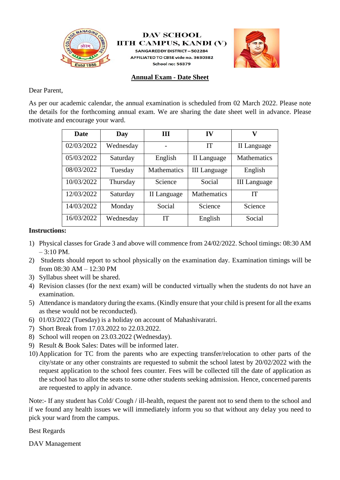

**DAV SCHOOL IITH CAMPUS, KANDI (V)** 

**SANGAREDDY DISTRICT-502284** AFFILIATED TO CBSE vide no. 3630382 School no: 56379



**Annual Exam - Date Sheet**

Dear Parent,

As per our academic calendar, the annual examination is scheduled from 02 March 2022. Please note the details for the forthcoming annual exam. We are sharing the date sheet well in advance. Please motivate and encourage your ward.

| <b>Date</b> | Day       | Ш                  | IV                  | v                   |
|-------------|-----------|--------------------|---------------------|---------------------|
| 02/03/2022  | Wednesday |                    | <b>IT</b>           | II Language         |
| 05/03/2022  | Saturday  | English            | II Language         | <b>Mathematics</b>  |
| 08/03/2022  | Tuesday   | <b>Mathematics</b> | <b>III</b> Language | English             |
| 10/03/2022  | Thursday  | Science            | Social              | <b>III</b> Language |
| 12/03/2022  | Saturday  | II Language        | <b>Mathematics</b>  | <b>IT</b>           |
| 14/03/2022  | Monday    | Social             | Science             | Science             |
| 16/03/2022  | Wednesday | <b>IT</b>          | English             | Social              |

## **Instructions:**

- 1) Physical classes for Grade 3 and above will commence from 24/02/2022. School timings: 08:30 AM – 3:10 PM.
- 2) Students should report to school physically on the examination day. Examination timings will be from 08:30 AM – 12:30 PM
- 3) Syllabus sheet will be shared.
- 4) Revision classes (for the next exam) will be conducted virtually when the students do not have an examination.
- 5) Attendance is mandatory during the exams. (Kindly ensure that your child is present for all the exams as these would not be reconducted).
- 6) 01/03/2022 (Tuesday) is a holiday on account of Mahashivaratri.
- 7) Short Break from 17.03.2022 to 22.03.2022.
- 8) School will reopen on 23.03.2022 (Wednesday).
- 9) Result & Book Sales: Dates will be informed later.
- 10) Application for TC from the parents who are expecting transfer/relocation to other parts of the city/state or any other constraints are requested to submit the school latest by 20/02/2022 with the request application to the school fees counter. Fees will be collected till the date of application as the school has to allot the seats to some other students seeking admission. Hence, concerned parents are requested to apply in advance.

Note:- If any student has Cold/ Cough / ill-health, request the parent not to send them to the school and if we found any health issues we will immediately inform you so that without any delay you need to pick your ward from the campus.

Best Regards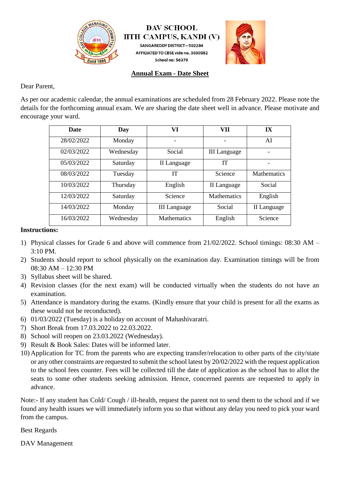

**DAV SCHOOL IITH CAMPUS, KANDI (V) SANGAREDDY DISTRICT-502284** AFFILIATED TO CBSE vide no. 3630382 School no: 56379



# **Annual Exam - Date Sheet**

Dear Parent,

As per our academic calendar, the annual examinations are scheduled from 28 February 2022. Please note the details for the forthcoming annual exam. We are sharing the date sheet well in advance. Please motivate and encourage your ward.

| <b>Date</b> | Day       | VI                  | VII                 | IX                 |
|-------------|-----------|---------------------|---------------------|--------------------|
| 28/02/2022  | Monday    |                     |                     | AI                 |
| 02/03/2022  | Wednesday | Social              | <b>III</b> Language |                    |
| 05/03/2022  | Saturday  | II Language         | IТ                  |                    |
| 08/03/2022  | Tuesday   | IТ                  | Science             | <b>Mathematics</b> |
| 10/03/2022  | Thursday  | English             | II Language         | Social             |
| 12/03/2022  | Saturday  | Science             | <b>Mathematics</b>  | English            |
| 14/03/2022  | Monday    | <b>III</b> Language | Social              | II Language        |
| 16/03/2022  | Wednesday | <b>Mathematics</b>  | English             | Science            |

# **Instructions:**

- 1) Physical classes for Grade 6 and above will commence from 21/02/2022. School timings: 08:30 AM 3:10 PM.
- 2) Students should report to school physically on the examination day. Examination timings will be from 08:30 AM – 12:30 PM
- 3) Syllabus sheet will be shared.
- 4) Revision classes (for the next exam) will be conducted virtually when the students do not have an examination.
- 5) Attendance is mandatory during the exams. (Kindly ensure that your child is present for all the exams as these would not be reconducted).
- 6) 01/03/2022 (Tuesday) is a holiday on account of Mahashivaratri.
- 7) Short Break from 17.03.2022 to 22.03.2022.
- 8) School will reopen on 23.03.2022 (Wednesday).
- 9) Result & Book Sales: Dates will be informed later.
- 10) Application for TC from the parents who are expecting transfer/relocation to other parts of the city/state or any other constraints are requested to submit the school latest by 20/02/2022 with the request application to the school fees counter. Fees will be collected till the date of application as the school has to allot the seats to some other students seeking admission. Hence, concerned parents are requested to apply in advance.

Note:- If any student has Cold/ Cough / ill-health, request the parent not to send them to the school and if we found any health issues we will immediately inform you so that without any delay you need to pick your ward from the campus.

Best Regards